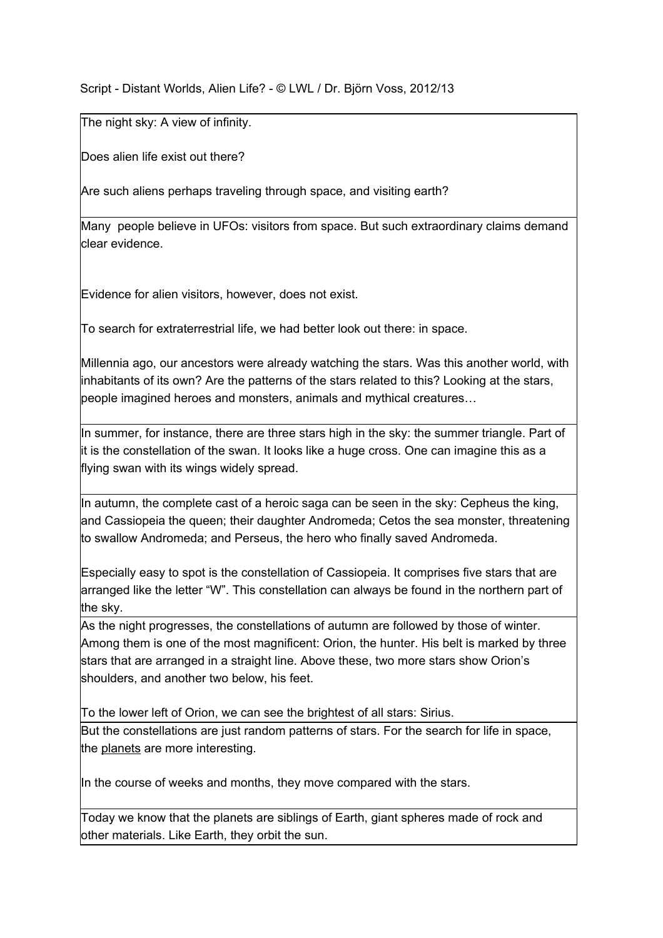## Script - Distant Worlds, Alien Life? - © LWL / Dr. Björn Voss, 2012/13

The night sky: A view of infinity.

Does alien life exist out there?

Are such aliens perhaps traveling through space, and visiting earth?

Many people believe in UFOs: visitors from space. But such extraordinary claims demand clear evidence.

Evidence for alien visitors, however, does not exist.

To search for extraterrestrial life, we had better look out there: in space.

Millennia ago, our ancestors were already watching the stars. Was this another world, with inhabitants of its own? Are the patterns of the stars related to this? Looking at the stars, people imagined heroes and monsters, animals and mythical creatures…

In summer, for instance, there are three stars high in the sky: the summer triangle. Part of it is the constellation of the swan. It looks like a huge cross. One can imagine this as a flying swan with its wings widely spread.

In autumn, the complete cast of a heroic saga can be seen in the sky: Cepheus the king, and Cassiopeia the queen; their daughter Andromeda; Cetos the sea monster, threatening to swallow Andromeda; and Perseus, the hero who finally saved Andromeda.

Especially easy to spot is the constellation of Cassiopeia. It comprises five stars that are arranged like the letter "W". This constellation can always be found in the northern part of the sky.

As the night progresses, the constellations of autumn are followed by those of winter. Among them is one of the most magnificent: Orion, the hunter. His belt is marked by three stars that are arranged in a straight line. Above these, two more stars show Orion's shoulders, and another two below, his feet.

To the lower left of Orion, we can see the brightest of all stars: Sirius. But the constellations are just random patterns of stars. For the search for life in space, the planets are more interesting.

In the course of weeks and months, they move compared with the stars.

Today we know that the planets are siblings of Earth, giant spheres made of rock and other materials. Like Earth, they orbit the sun.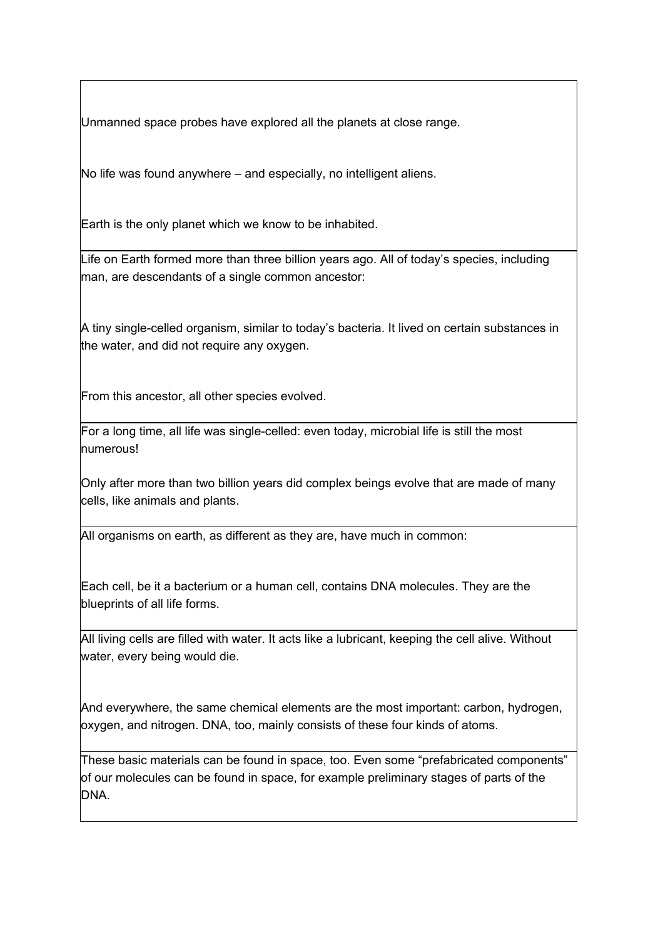Unmanned space probes have explored all the planets at close range.

No life was found anywhere – and especially, no intelligent aliens.

Earth is the only planet which we know to be inhabited.

Life on Earth formed more than three billion years ago. All of today's species, including man, are descendants of a single common ancestor:

A tiny single-celled organism, similar to today's bacteria. It lived on certain substances in the water, and did not require any oxygen.

From this ancestor, all other species evolved.

For a long time, all life was single-celled: even today, microbial life is still the most numerous!

Only after more than two billion years did complex beings evolve that are made of many cells, like animals and plants.

All organisms on earth, as different as they are, have much in common:

Each cell, be it a bacterium or a human cell, contains DNA molecules. They are the blueprints of all life forms.

All living cells are filled with water. It acts like a lubricant, keeping the cell alive. Without water, every being would die.

And everywhere, the same chemical elements are the most important: carbon, hydrogen, oxygen, and nitrogen. DNA, too, mainly consists of these four kinds of atoms.

These basic materials can be found in space, too. Even some "prefabricated components" of our molecules can be found in space, for example preliminary stages of parts of the DNA.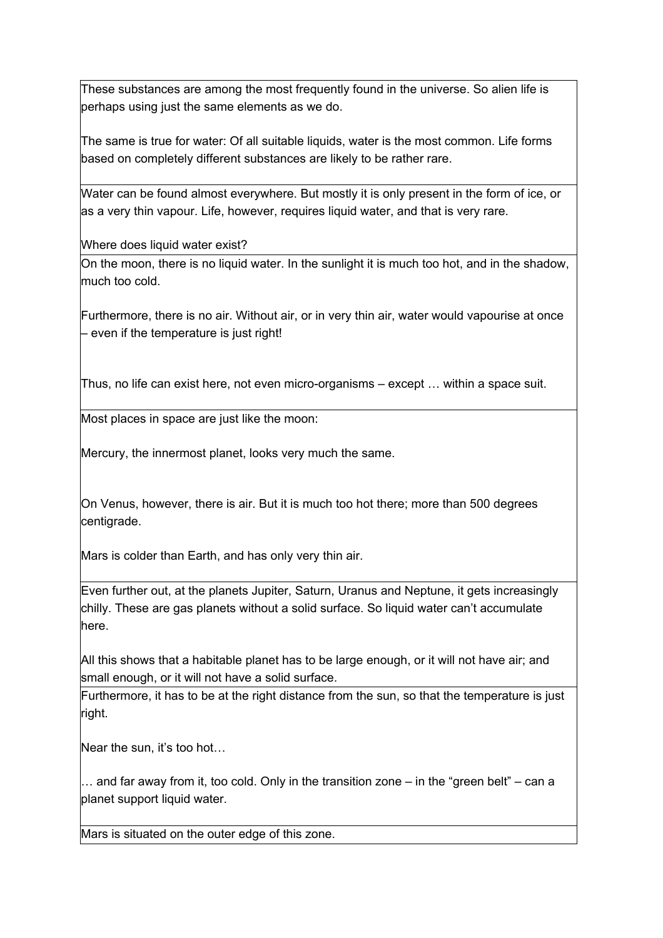These substances are among the most frequently found in the universe. So alien life is perhaps using just the same elements as we do.

The same is true for water: Of all suitable liquids, water is the most common. Life forms based on completely different substances are likely to be rather rare.

Water can be found almost everywhere. But mostly it is only present in the form of ice, or as a very thin vapour. Life, however, requires liquid water, and that is very rare.

Where does liquid water exist?

On the moon, there is no liquid water. In the sunlight it is much too hot, and in the shadow, much too cold.

Furthermore, there is no air. Without air, or in very thin air, water would vapourise at once – even if the temperature is just right!

Thus, no life can exist here, not even micro-organisms – except  $\ldots$  within a space suit.

Most places in space are just like the moon:

Mercury, the innermost planet, looks very much the same.

On Venus, however, there is air. But it is much too hot there; more than 500 degrees centigrade.

Mars is colder than Earth, and has only very thin air.

Even further out, at the planets Jupiter, Saturn, Uranus and Neptune, it gets increasingly chilly. These are gas planets without a solid surface. So liquid water can't accumulate here.

All this shows that a habitable planet has to be large enough, or it will not have air; and small enough, or it will not have a solid surface.

Furthermore, it has to be at the right distance from the sun, so that the temperature is just right.

Near the sun, it's too hot...

 $\ldots$  and far away from it, too cold. Only in the transition zone – in the "green belt" – can a planet support liquid water.

Mars is situated on the outer edge of this zone.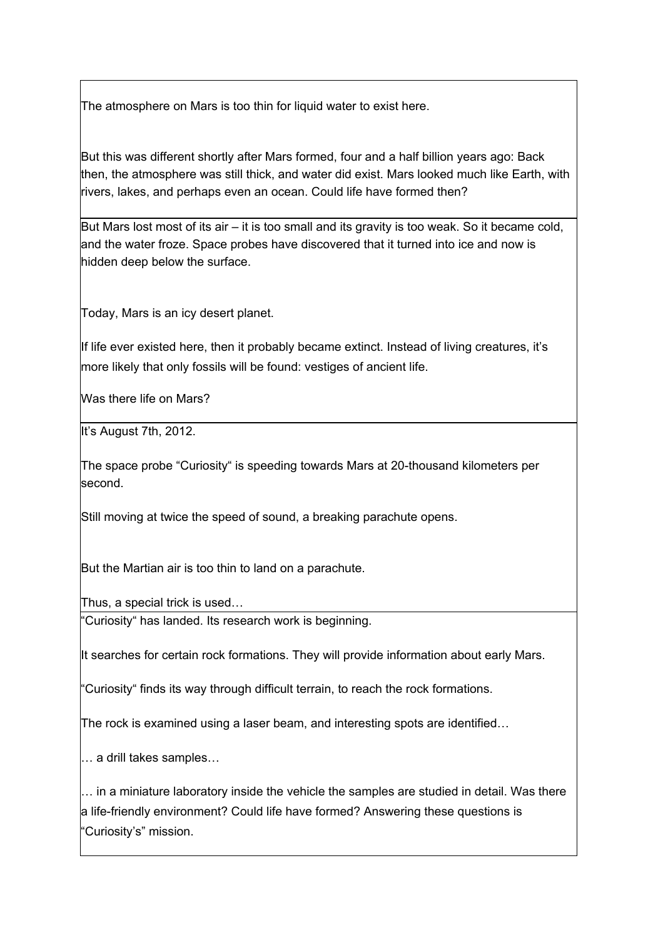The atmosphere on Mars is too thin for liquid water to exist here.

But this was different shortly after Mars formed, four and a half billion years ago: Back then, the atmosphere was still thick, and water did exist. Mars looked much like Earth, with rivers, lakes, and perhaps even an ocean. Could life have formed then?

But Mars lost most of its  $air - it$  is too small and its gravity is too weak. So it became cold, and the water froze. Space probes have discovered that it turned into ice and now is hidden deep below the surface.

Today, Mars is an icy desert planet.

If life ever existed here, then it probably became extinct. Instead of living creatures, it's more likely that only fossils will be found: vestiges of ancient life.

Was there life on Mars?

It's August 7th, 2012.

The space probe "Curiosity" is speeding towards Mars at 20-thousand kilometers per second.

Still moving at twice the speed of sound, a breaking parachute opens.

But the Martian air is too thin to land on a parachute.

Thus, a special trick is used…

"Curiosity" has landed. Its research work is beginning.

It searches for certain rock formations. They will provide information about early Mars.

"Curiosity" finds its way through difficult terrain, to reach the rock formations.

The rock is examined using a laser beam, and interesting spots are identified…

… a drill takes samples…

… in a miniature laboratory inside the vehicle the samples are studied in detail. Was there a life-friendly environment? Could life have formed? Answering these questions is "Curiosity's" mission.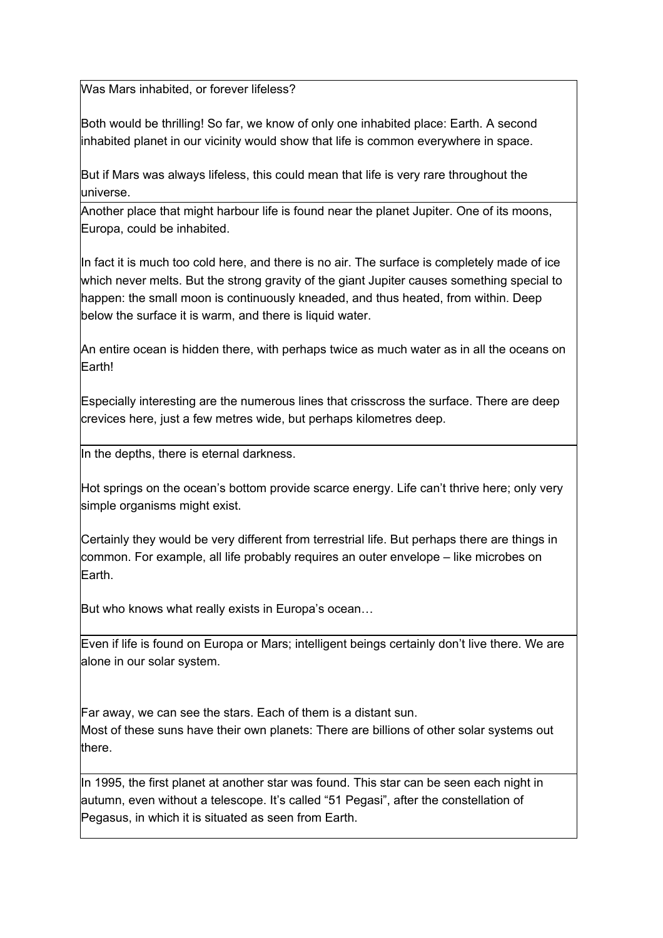Was Mars inhabited, or forever lifeless?

Both would be thrilling! So far, we know of only one inhabited place: Earth. A second inhabited planet in our vicinity would show that life is common everywhere in space.

But if Mars was always lifeless, this could mean that life is very rare throughout the universe.

Another place that might harbour life is found near the planet Jupiter. One of its moons, Europa, could be inhabited.

In fact it is much too cold here, and there is no air. The surface is completely made of ice which never melts. But the strong gravity of the giant Jupiter causes something special to happen: the small moon is continuously kneaded, and thus heated, from within. Deep below the surface it is warm, and there is liquid water.

An entire ocean is hidden there, with perhaps twice as much water as in all the oceans on Earth!

Especially interesting are the numerous lines that crisscross the surface. There are deep crevices here, just a few metres wide, but perhaps kilometres deep.

In the depths, there is eternal darkness.

Hot springs on the ocean's bottom provide scarce energy. Life can't thrive here; only very simple organisms might exist.

Certainly they would be very different from terrestrial life. But perhaps there are things in common. For example, all life probably requires an outer envelope – like microbes on Earth.

But who knows what really exists in Europa's ocean…

Even if life is found on Europa or Mars; intelligent beings certainly don't live there. We are alone in our solar system.

Far away, we can see the stars. Each of them is a distant sun. Most of these suns have their own planets: There are billions of other solar systems out there.

In 1995, the first planet at another star was found. This star can be seen each night in autumn, even without a telescope. It's called "51 Pegasi", after the constellation of Pegasus, in which it is situated as seen from Earth.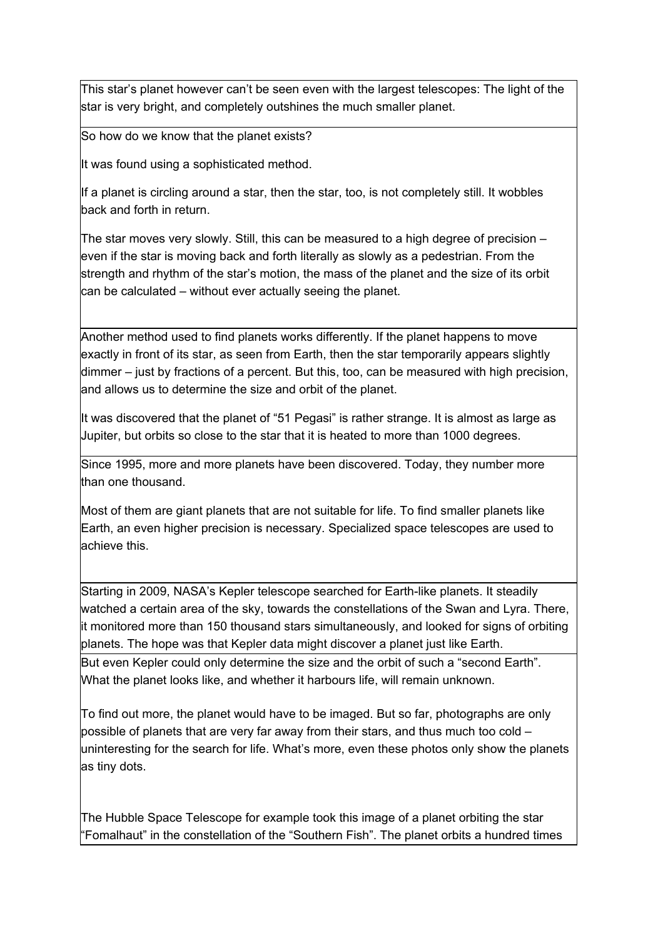This star's planet however can't be seen even with the largest telescopes: The light of the star is very bright, and completely outshines the much smaller planet.

So how do we know that the planet exists?

It was found using a sophisticated method.

If a planet is circling around a star, then the star, too, is not completely still. It wobbles back and forth in return.

The star moves very slowly. Still, this can be measured to a high degree of precision  $$ even if the star is moving back and forth literally as slowly as a pedestrian. From the strength and rhythm of the star's motion, the mass of the planet and the size of its orbit can be calculated – without ever actually seeing the planet.

Another method used to find planets works differently. If the planet happens to move exactly in front of its star, as seen from Earth, then the star temporarily appears slightly dimmer – just by fractions of a percent. But this, too, can be measured with high precision, and allows us to determine the size and orbit of the planet.

It was discovered that the planet of "51 Pegasi" is rather strange. It is almost as large as Jupiter, but orbits so close to the star that it is heated to more than 1000 degrees.

Since 1995, more and more planets have been discovered. Today, they number more than one thousand.

Most of them are giant planets that are not suitable for life. To find smaller planets like Earth, an even higher precision is necessary. Specialized space telescopes are used to achieve this.

Starting in 2009, NASA's Kepler telescope searched for Earth-like planets. It steadily watched a certain area of the sky, towards the constellations of the Swan and Lyra. There, it monitored more than 150 thousand stars simultaneously, and looked for signs of orbiting planets. The hope was that Kepler data might discover a planet just like Earth. But even Kepler could only determine the size and the orbit of such a "second Earth". What the planet looks like, and whether it harbours life, will remain unknown.

To find out more, the planet would have to be imaged. But so far, photographs are only possible of planets that are very far away from their stars, and thus much too cold – uninteresting for the search for life. What's more, even these photos only show the planets as tiny dots.

The Hubble Space Telescope for example took this image of a planet orbiting the star "Fomalhaut" in the constellation of the "Southern Fish". The planet orbits a hundred times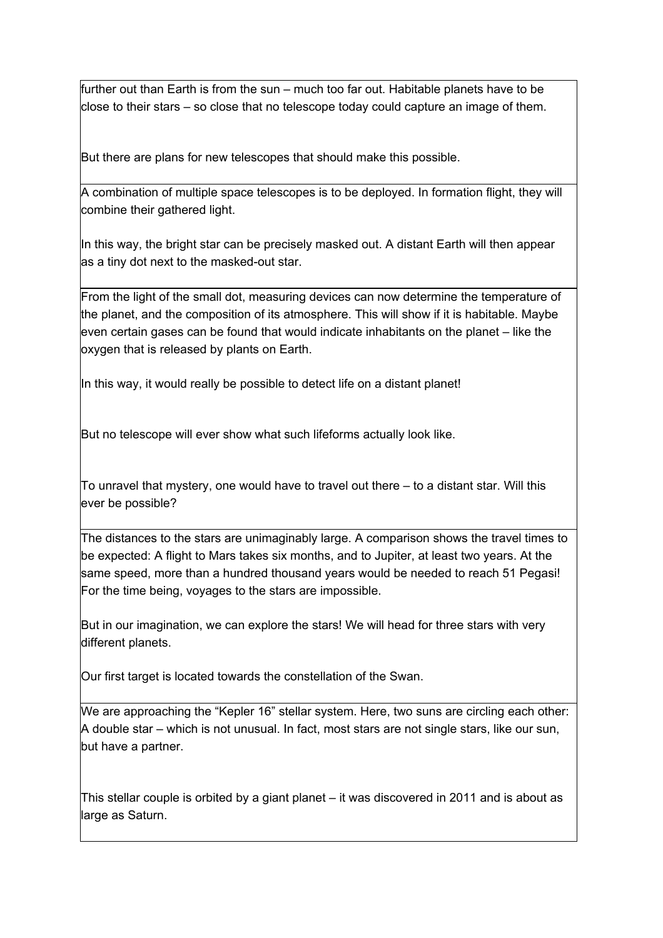further out than Earth is from the sun – much too far out. Habitable planets have to be close to their stars – so close that no telescope today could capture an image of them.

But there are plans for new telescopes that should make this possible.

A combination of multiple space telescopes is to be deployed. In formation flight, they will combine their gathered light.

In this way, the bright star can be precisely masked out. A distant Earth will then appear as a tiny dot next to the masked-out star.

From the light of the small dot, measuring devices can now determine the temperature of the planet, and the composition of its atmosphere. This will show if it is habitable. Maybe even certain gases can be found that would indicate inhabitants on the planet – like the oxygen that is released by plants on Earth.

In this way, it would really be possible to detect life on a distant planet!

But no telescope will ever show what such lifeforms actually look like.

To unravel that mystery, one would have to travel out there – to a distant star. Will this ever be possible?

The distances to the stars are unimaginably large. A comparison shows the travel times to be expected: A flight to Mars takes six months, and to Jupiter, at least two years. At the same speed, more than a hundred thousand years would be needed to reach 51 Pegasi! For the time being, voyages to the stars are impossible.

But in our imagination, we can explore the stars! We will head for three stars with very different planets.

Our first target is located towards the constellation of the Swan.

We are approaching the "Kepler 16" stellar system. Here, two suns are circling each other: A double star – which is not unusual. In fact, most stars are not single stars, like our sun, but have a partner.

This stellar couple is orbited by a giant planet – it was discovered in 2011 and is about as large as Saturn.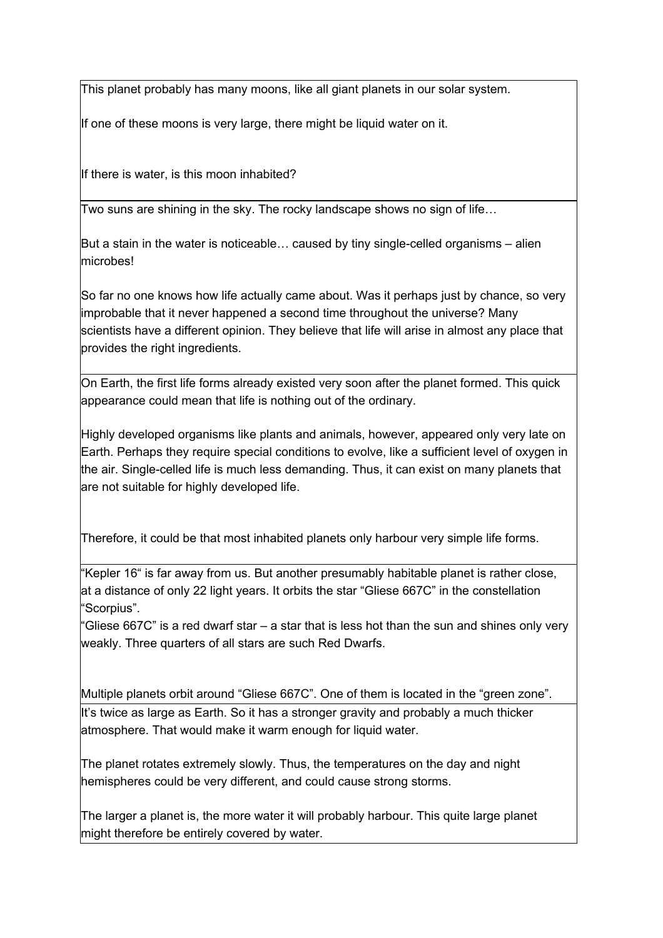This planet probably has many moons, like all giant planets in our solar system.

If one of these moons is very large, there might be liquid water on it.

If there is water, is this moon inhabited?

Two suns are shining in the sky. The rocky landscape shows no sign of life…

But a stain in the water is noticeable... caused by tiny single-celled organisms – alien microbes!

So far no one knows how life actually came about. Was it perhaps just by chance, so very improbable that it never happened a second time throughout the universe? Many scientists have a different opinion. They believe that life will arise in almost any place that provides the right ingredients.

On Earth, the first life forms already existed very soon after the planet formed. This quick appearance could mean that life is nothing out of the ordinary.

Highly developed organisms like plants and animals, however, appeared only very late on Earth. Perhaps they require special conditions to evolve, like a sufficient level of oxygen in the air. Single-celled life is much less demanding. Thus, it can exist on many planets that are not suitable for highly developed life.

Therefore, it could be that most inhabited planets only harbour very simple life forms.

"Kepler 16" is far away from us. But another presumably habitable planet is rather close, at a distance of only 22 light years. It orbits the star "Gliese 667C" in the constellation "Scorpius".

"Gliese 667C" is a red dwarf star – a star that is less hot than the sun and shines only very weakly. Three quarters of all stars are such Red Dwarfs.

Multiple planets orbit around "Gliese 667C". One of them is located in the "green zone".

It's twice as large as Earth. So it has a stronger gravity and probably a much thicker atmosphere. That would make it warm enough for liquid water.

The planet rotates extremely slowly. Thus, the temperatures on the day and night hemispheres could be very different, and could cause strong storms.

The larger a planet is, the more water it will probably harbour. This quite large planet might therefore be entirely covered by water.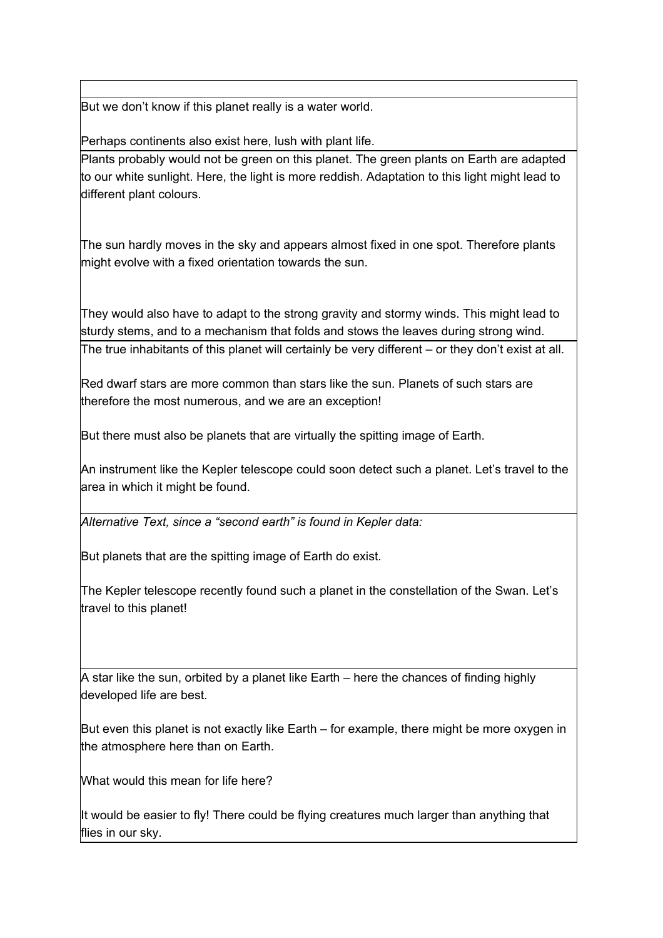But we don't know if this planet really is a water world.

Perhaps continents also exist here, lush with plant life.

Plants probably would not be green on this planet. The green plants on Earth are adapted to our white sunlight. Here, the light is more reddish. Adaptation to this light might lead to different plant colours.

The sun hardly moves in the sky and appears almost fixed in one spot. Therefore plants might evolve with a fixed orientation towards the sun.

They would also have to adapt to the strong gravity and stormy winds. This might lead to sturdy stems, and to a mechanism that folds and stows the leaves during strong wind. The true inhabitants of this planet will certainly be very different – or they don't exist at all.

Red dwarf stars are more common than stars like the sun. Planets of such stars are therefore the most numerous, and we are an exception!

But there must also be planets that are virtually the spitting image of Earth.

An instrument like the Kepler telescope could soon detect such a planet. Let's travel to the area in which it might be found.

*Alternative Text, since a "second earth" is found in Kepler data:*

But planets that are the spitting image of Earth do exist.

The Kepler telescope recently found such a planet in the constellation of the Swan. Let's travel to this planet!

A star like the sun, orbited by a planet like Earth – here the chances of finding highly developed life are best.

But even this planet is not exactly like Earth – for example, there might be more oxygen in the atmosphere here than on Earth.

What would this mean for life here?

It would be easier to fly! There could be flying creatures much larger than anything that flies in our sky.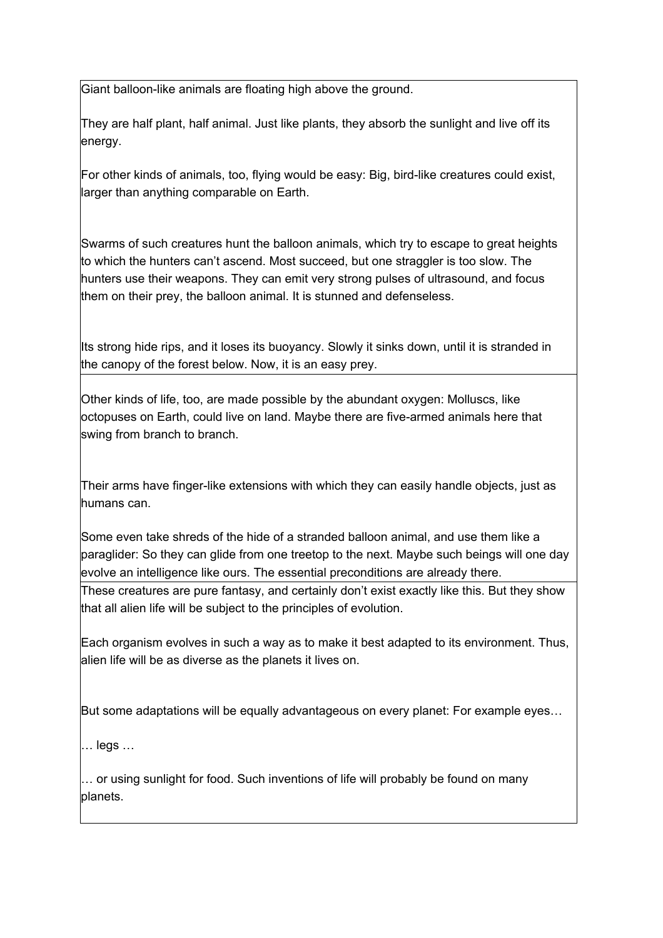Giant balloon-like animals are floating high above the ground.

They are half plant, half animal. Just like plants, they absorb the sunlight and live off its energy.

For other kinds of animals, too, flying would be easy: Big, bird-like creatures could exist, larger than anything comparable on Earth.

Swarms of such creatures hunt the balloon animals, which try to escape to great heights to which the hunters can't ascend. Most succeed, but one straggler is too slow. The hunters use their weapons. They can emit very strong pulses of ultrasound, and focus them on their prey, the balloon animal. It is stunned and defenseless.

Its strong hide rips, and it loses its buoyancy. Slowly it sinks down, until it is stranded in the canopy of the forest below. Now, it is an easy prey.

Other kinds of life, too, are made possible by the abundant oxygen: Molluscs, like  $\overline{a}$  octopuses on Earth, could live on land. Maybe there are five-armed animals here that swing from branch to branch.

Their arms have finger-like extensions with which they can easily handle objects, just as humans can.

Some even take shreds of the hide of a stranded balloon animal, and use them like a paraglider: So they can glide from one treetop to the next. Maybe such beings will one day evolve an intelligence like ours. The essential preconditions are already there.

These creatures are pure fantasy, and certainly don't exist exactly like this. But they show that all alien life will be subject to the principles of evolution.

Each organism evolves in such a way as to make it best adapted to its environment. Thus, alien life will be as diverse as the planets it lives on.

But some adaptations will be equally advantageous on every planet: For example eyes…

… legs …

… or using sunlight for food. Such inventions of life will probably be found on many planets.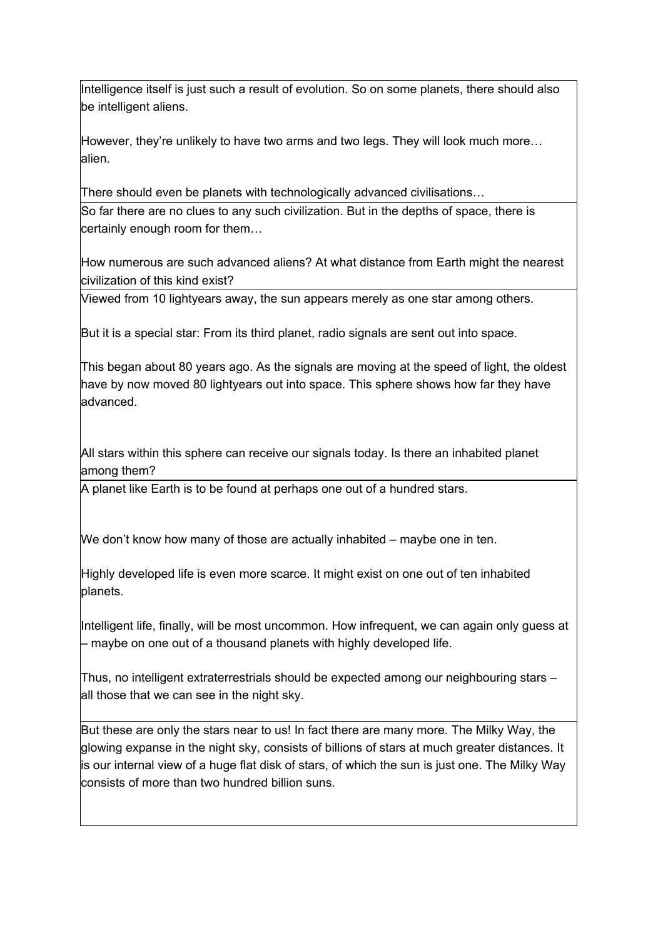Intelligence itself is just such a result of evolution. So on some planets, there should also be intelligent aliens.

However, they're unlikely to have two arms and two legs. They will look much more… alien.

There should even be planets with technologically advanced civilisations…

So far there are no clues to any such civilization. But in the depths of space, there is certainly enough room for them…

How numerous are such advanced aliens? At what distance from Earth might the nearest civilization of this kind exist?

Viewed from 10 lightyears away, the sun appears merely as one star among others.

But it is a special star: From its third planet, radio signals are sent out into space.

This began about 80 years ago. As the signals are moving at the speed of light, the oldest have by now moved 80 lightyears out into space. This sphere shows how far they have advanced.

All stars within this sphere can receive our signals today. Is there an inhabited planet among them?

A planet like Earth is to be found at perhaps one out of a hundred stars.

We don't know how many of those are actually inhabited – maybe one in ten.

Highly developed life is even more scarce. It might exist on one out of ten inhabited planets.

Intelligent life, finally, will be most uncommon. How infrequent, we can again only guess at – maybe on one out of a thousand planets with highly developed life.

Thus, no intelligent extraterrestrials should be expected among our neighbouring stars – all those that we can see in the night sky.

But these are only the stars near to us! In fact there are many more. The Milky Way, the glowing expanse in the night sky, consists of billions of stars at much greater distances. It is our internal view of a huge flat disk of stars, of which the sun is just one. The Milky Way consists of more than two hundred billion suns.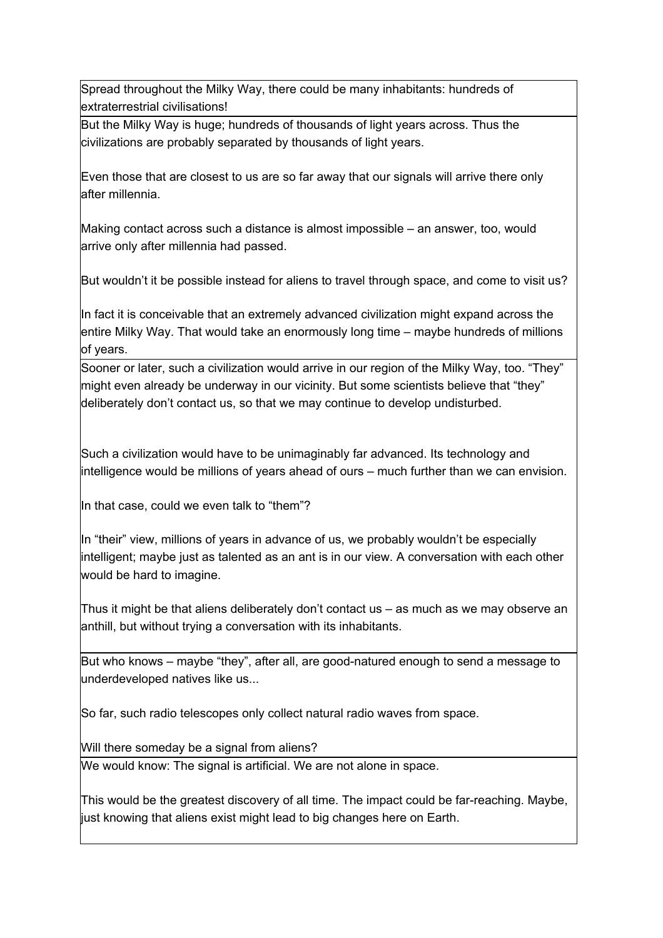Spread throughout the Milky Way, there could be many inhabitants: hundreds of extraterrestrial civilisations!

But the Milky Way is huge; hundreds of thousands of light years across. Thus the civilizations are probably separated by thousands of light years.

Even those that are closest to us are so far away that our signals will arrive there only after millennia.

Making contact across such a distance is almost impossible – an answer, too, would arrive only after millennia had passed.

But wouldn't it be possible instead for aliens to travel through space, and come to visit us?

In fact it is conceivable that an extremely advanced civilization might expand across the entire Milky Way. That would take an enormously long time – maybe hundreds of millions of years.

Sooner or later, such a civilization would arrive in our region of the Milky Way, too. "They" might even already be underway in our vicinity. But some scientists believe that "they" deliberately don't contact us, so that we may continue to develop undisturbed.

Such a civilization would have to be unimaginably far advanced. Its technology and intelligence would be millions of years ahead of ours – much further than we can envision.

In that case, could we even talk to "them"?

In "their" view, millions of years in advance of us, we probably wouldn't be especially intelligent; maybe just as talented as an ant is in our view. A conversation with each other would be hard to imagine.

Thus it might be that aliens deliberately don't contact us – as much as we may observe an anthill, but without trying a conversation with its inhabitants.

But who knows  $-$  maybe "they", after all, are good-natured enough to send a message to underdeveloped natives like us...

So far, such radio telescopes only collect natural radio waves from space.

Will there someday be a signal from aliens?

We would know: The signal is artificial. We are not alone in space.

This would be the greatest discovery of all time. The impact could be far-reaching. Maybe, just knowing that aliens exist might lead to big changes here on Earth.